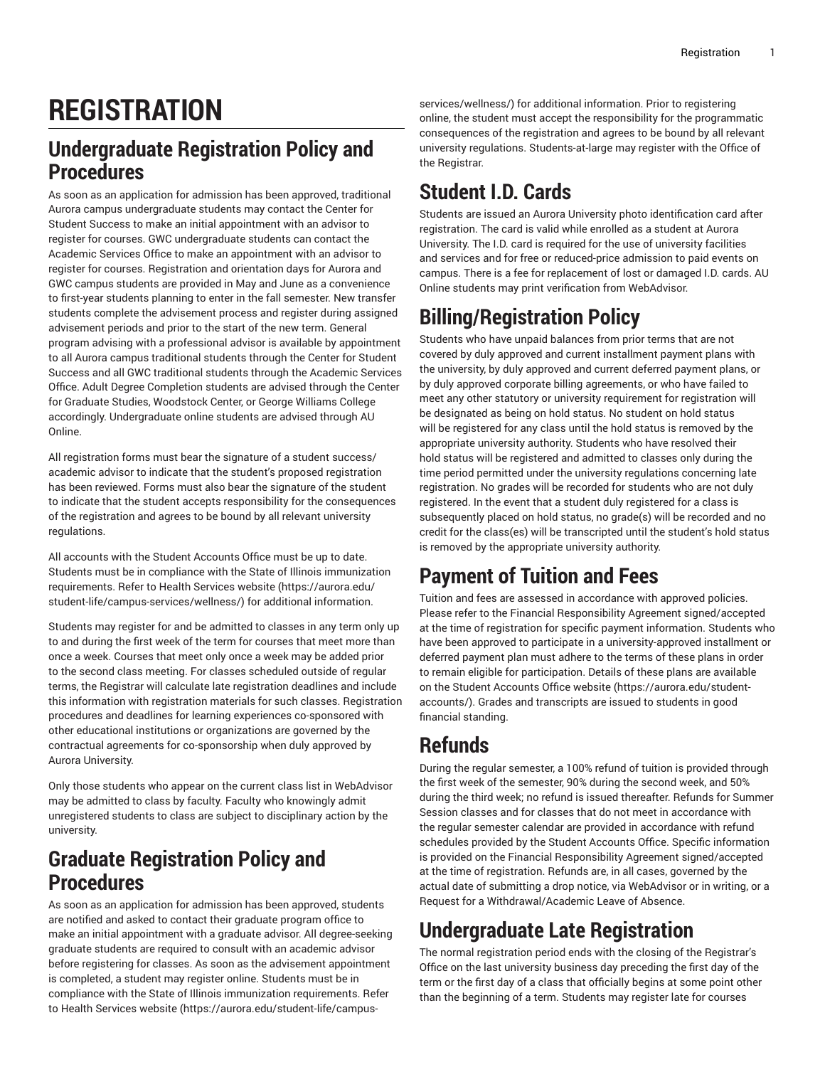# **REGISTRATION**

### **Undergraduate Registration Policy and Procedures**

As soon as an application for admission has been approved, traditional Aurora campus undergraduate students may contact the Center for Student Success to make an initial appointment with an advisor to register for courses. GWC undergraduate students can contact the Academic Services Office to make an appointment with an advisor to register for courses. Registration and orientation days for Aurora and GWC campus students are provided in May and June as a convenience to first-year students planning to enter in the fall semester. New transfer students complete the advisement process and register during assigned advisement periods and prior to the start of the new term. General program advising with a professional advisor is available by appointment to all Aurora campus traditional students through the Center for Student Success and all GWC traditional students through the Academic Services Office. Adult Degree Completion students are advised through the Center for Graduate Studies, Woodstock Center, or George Williams College accordingly. Undergraduate online students are advised through AU Online.

All registration forms must bear the signature of a student success/ academic advisor to indicate that the student's proposed registration has been reviewed. Forms must also bear the signature of the student to indicate that the student accepts responsibility for the consequences of the registration and agrees to be bound by all relevant university regulations.

All accounts with the Student Accounts Office must be up to date. Students must be in compliance with the State of Illinois immunization requirements. Refer to Health [Services](https://aurora.edu/student-life/campus-services/wellness/) website ([https://aurora.edu/](https://aurora.edu/student-life/campus-services/wellness/) [student-life/campus-services/wellness/\)](https://aurora.edu/student-life/campus-services/wellness/) for additional information.

Students may register for and be admitted to classes in any term only up to and during the first week of the term for courses that meet more than once a week. Courses that meet only once a week may be added prior to the second class meeting. For classes scheduled outside of regular terms, the Registrar will calculate late registration deadlines and include this information with registration materials for such classes. Registration procedures and deadlines for learning experiences co-sponsored with other educational institutions or organizations are governed by the contractual agreements for co-sponsorship when duly approved by Aurora University.

Only those students who appear on the current class list in WebAdvisor may be admitted to class by faculty. Faculty who knowingly admit unregistered students to class are subject to disciplinary action by the university.

### **Graduate Registration Policy and Procedures**

As soon as an application for admission has been approved, students are notified and asked to contact their graduate program office to make an initial appointment with a graduate advisor. All degree-seeking graduate students are required to consult with an academic advisor before registering for classes. As soon as the advisement appointment is completed, a student may register online. Students must be in compliance with the State of Illinois immunization requirements. Refer to Health [Services](https://aurora.edu/student-life/campus-services/wellness/) website [\(https://aurora.edu/student-life/campus-](https://aurora.edu/student-life/campus-services/wellness/)

[services/wellness/](https://aurora.edu/student-life/campus-services/wellness/)) for additional information. Prior to registering online, the student must accept the responsibility for the programmatic consequences of the registration and agrees to be bound by all relevant university regulations. Students-at-large may register with the Office of the Registrar.

# **Student I.D. Cards**

Students are issued an Aurora University photo identification card after registration. The card is valid while enrolled as a student at Aurora University. The I.D. card is required for the use of university facilities and services and for free or reduced-price admission to paid events on campus. There is a fee for replacement of lost or damaged I.D. cards. AU Online students may print verification from WebAdvisor.

# **Billing/Registration Policy**

Students who have unpaid balances from prior terms that are not covered by duly approved and current installment payment plans with the university, by duly approved and current deferred payment plans, or by duly approved corporate billing agreements, or who have failed to meet any other statutory or university requirement for registration will be designated as being on hold status. No student on hold status will be registered for any class until the hold status is removed by the appropriate university authority. Students who have resolved their hold status will be registered and admitted to classes only during the time period permitted under the university regulations concerning late registration. No grades will be recorded for students who are not duly registered. In the event that a student duly registered for a class is subsequently placed on hold status, no grade(s) will be recorded and no credit for the class(es) will be transcripted until the student's hold status is removed by the appropriate university authority.

# **Payment of Tuition and Fees**

Tuition and fees are assessed in accordance with approved policies. Please refer to the Financial Responsibility Agreement signed/accepted at the time of registration for specific payment information. Students who have been approved to participate in a university-approved installment or deferred payment plan must adhere to the terms of these plans in order to remain eligible for participation. Details of these plans are available on the [Student Accounts Office website \(https://aurora.edu/student](https://aurora.edu/student-accounts/)[accounts/](https://aurora.edu/student-accounts/)). Grades and transcripts are issued to students in good financial standing.

# **Refunds**

During the regular semester, a 100% refund of tuition is provided through the first week of the semester, 90% during the second week, and 50% during the third week; no refund is issued thereafter. Refunds for Summer Session classes and for classes that do not meet in accordance with the regular semester calendar are provided in accordance with refund schedules provided by the Student Accounts Office. Specific information is provided on the Financial Responsibility Agreement signed/accepted at the time of registration. Refunds are, in all cases, governed by the actual date of submitting a drop notice, via WebAdvisor or in writing, or a Request for a Withdrawal/Academic Leave of Absence.

# **Undergraduate Late Registration**

The normal registration period ends with the closing of the Registrar's Office on the last university business day preceding the first day of the term or the first day of a class that officially begins at some point other than the beginning of a term. Students may register late for courses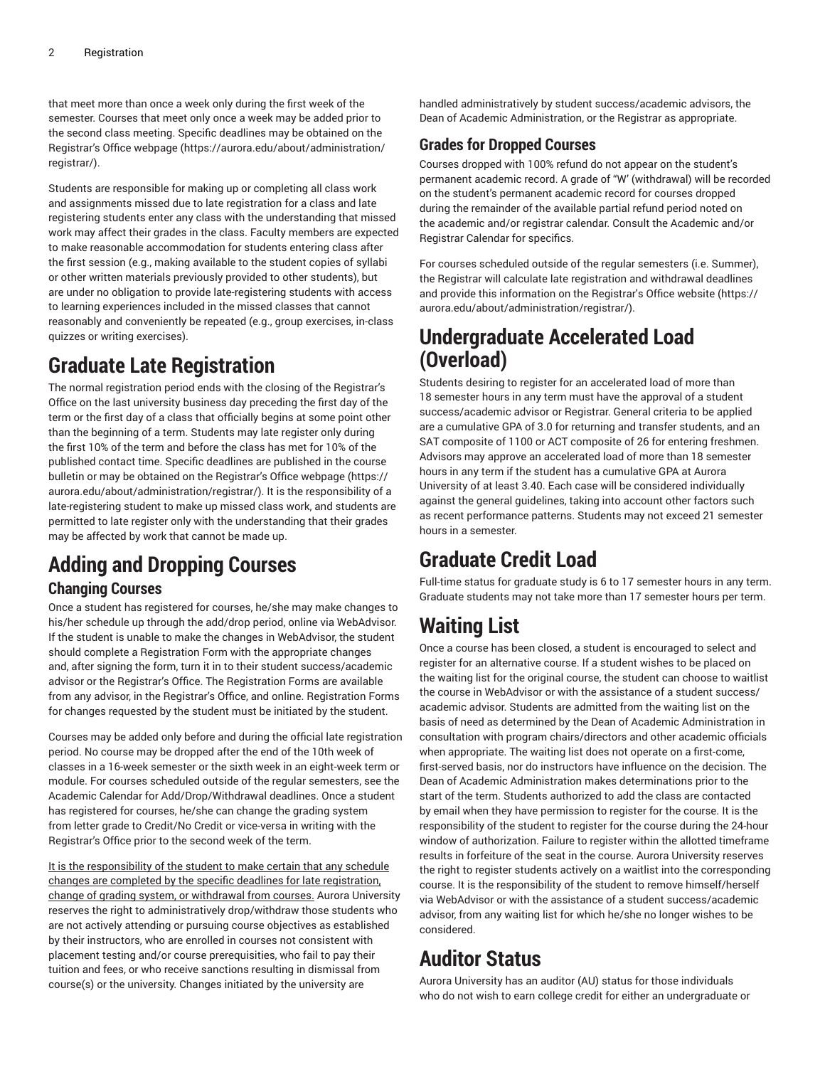that meet more than once a week only during the first week of the semester. Courses that meet only once a week may be added prior to the second class meeting. Specific deadlines may be obtained on the [Registrar's](https://aurora.edu/about/administration/registrar/) Office webpage ([https://aurora.edu/about/administration/](https://aurora.edu/about/administration/registrar/) [registrar/\)](https://aurora.edu/about/administration/registrar/).

Students are responsible for making up or completing all class work and assignments missed due to late registration for a class and late registering students enter any class with the understanding that missed work may affect their grades in the class. Faculty members are expected to make reasonable accommodation for students entering class after the first session (e.g., making available to the student copies of syllabi or other written materials previously provided to other students), but are under no obligation to provide late-registering students with access to learning experiences included in the missed classes that cannot reasonably and conveniently be repeated (e.g., group exercises, in-class quizzes or writing exercises).

## **Graduate Late Registration**

The normal registration period ends with the closing of the Registrar's Office on the last university business day preceding the first day of the term or the first day of a class that officially begins at some point other than the beginning of a term. Students may late register only during the first 10% of the term and before the class has met for 10% of the published contact time. Specific deadlines are published in the course bulletin or may be obtained on the [Registrar's](https://aurora.edu/about/administration/registrar/) Office webpage ([https://](https://aurora.edu/about/administration/registrar/) [aurora.edu/about/administration/registrar/](https://aurora.edu/about/administration/registrar/)). It is the responsibility of a late-registering student to make up missed class work, and students are permitted to late register only with the understanding that their grades may be affected by work that cannot be made up.

# **Adding and Dropping Courses**

#### **Changing Courses**

Once a student has registered for courses, he/she may make changes to his/her schedule up through the add/drop period, online via WebAdvisor. If the student is unable to make the changes in WebAdvisor, the student should complete a Registration Form with the appropriate changes and, after signing the form, turn it in to their student success/academic advisor or the Registrar's Office. The Registration Forms are available from any advisor, in the Registrar's Office, and online. Registration Forms for changes requested by the student must be initiated by the student.

Courses may be added only before and during the official late registration period. No course may be dropped after the end of the 10th week of classes in a 16-week semester or the sixth week in an eight-week term or module. For courses scheduled outside of the regular semesters, see the Academic Calendar for Add/Drop/Withdrawal deadlines. Once a student has registered for courses, he/she can change the grading system from letter grade to Credit/No Credit or vice-versa in writing with the Registrar's Office prior to the second week of the term.

It is the responsibility of the student to make certain that any schedule changes are completed by the specific deadlines for late registration, change of grading system, or withdrawal from courses. Aurora University reserves the right to administratively drop/withdraw those students who are not actively attending or pursuing course objectives as established by their instructors, who are enrolled in courses not consistent with placement testing and/or course prerequisities, who fail to pay their tuition and fees, or who receive sanctions resulting in dismissal from course(s) or the university. Changes initiated by the university are

handled administratively by student success/academic advisors, the Dean of Academic Administration, or the Registrar as appropriate.

#### **Grades for Dropped Courses**

Courses dropped with 100% refund do not appear on the student's permanent academic record. A grade of "W' (withdrawal) will be recorded on the student's permanent academic record for courses dropped during the remainder of the available partial refund period noted on the academic and/or registrar calendar. Consult the Academic and/or Registrar Calendar for specifics.

For courses scheduled outside of the regular semesters (i.e. Summer), the Registrar will calculate late registration and withdrawal deadlines and provide this information on the [Registrar's](https://aurora.edu/about/administration/registrar/) Office website [\(https://](https://aurora.edu/about/administration/registrar/) [aurora.edu/about/administration/registrar/\)](https://aurora.edu/about/administration/registrar/).

### **Undergraduate Accelerated Load (Overload)**

Students desiring to register for an accelerated load of more than 18 semester hours in any term must have the approval of a student success/academic advisor or Registrar. General criteria to be applied are a cumulative GPA of 3.0 for returning and transfer students, and an SAT composite of 1100 or ACT composite of 26 for entering freshmen. Advisors may approve an accelerated load of more than 18 semester hours in any term if the student has a cumulative GPA at Aurora University of at least 3.40. Each case will be considered individually against the general guidelines, taking into account other factors such as recent performance patterns. Students may not exceed 21 semester hours in a semester.

## **Graduate Credit Load**

Full-time status for graduate study is 6 to 17 semester hours in any term. Graduate students may not take more than 17 semester hours per term.

# **Waiting List**

Once a course has been closed, a student is encouraged to select and register for an alternative course. If a student wishes to be placed on the waiting list for the original course, the student can choose to waitlist the course in WebAdvisor or with the assistance of a student success/ academic advisor. Students are admitted from the waiting list on the basis of need as determined by the Dean of Academic Administration in consultation with program chairs/directors and other academic officials when appropriate. The waiting list does not operate on a first-come, first-served basis, nor do instructors have influence on the decision. The Dean of Academic Administration makes determinations prior to the start of the term. Students authorized to add the class are contacted by email when they have permission to register for the course. It is the responsibility of the student to register for the course during the 24-hour window of authorization. Failure to register within the allotted timeframe results in forfeiture of the seat in the course. Aurora University reserves the right to register students actively on a waitlist into the corresponding course. It is the responsibility of the student to remove himself/herself via WebAdvisor or with the assistance of a student success/academic advisor, from any waiting list for which he/she no longer wishes to be considered.

## **Auditor Status**

Aurora University has an auditor (AU) status for those individuals who do not wish to earn college credit for either an undergraduate or